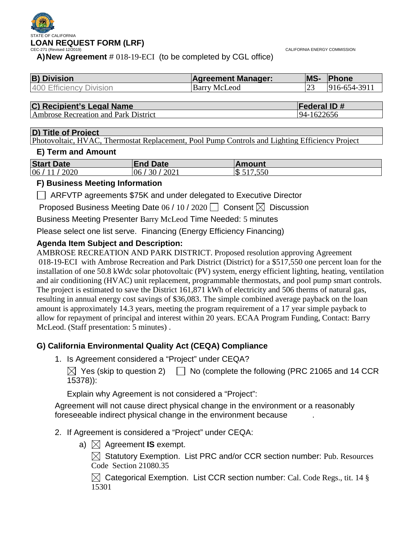

CALIFORNIA ENERGY COMMISSION

**A)New Agreement** # 018-19-ECI (to be completed by CGL office)

| <b>B) Division</b>      | <b>Agreement Manager:</b> | <b>MS-</b> | <b>Phone</b>              |
|-------------------------|---------------------------|------------|---------------------------|
| 400 Efficiency Division | <b>Barry McLeod</b>       |            | $ 916 - 654 - 391\rangle$ |

| C) Recipient's Legal Name | <b>Federal ID#</b> |
|---------------------------|--------------------|
|                           |                    |

Ambrose Recreation and Park District 194-1622656

#### **D) Title of Project**

Photovoltaic, HVAC, Thermostat Replacement, Pool Pump Controls and Lighting Efficiency Project

#### **E) Term and Amount**

| <b>Start Date</b> | <b>End Date</b> | <b>Amount</b> |
|-------------------|-----------------|---------------|
| 06 / 11 / 2020    | 30/2021<br>06   | \$517,550     |

#### **F) Business Meeting Information**

ARFVTP agreements \$75K and under delegated to Executive Director

Proposed Business Meeting Date 06 / 10 / 2020  $\Box$  Consent  $\boxtimes$  Discussion

Business Meeting Presenter Barry McLeod Time Needed: 5 minutes

Please select one list serve. Financing (Energy Efficiency Financing)

### **Agenda Item Subject and Description:**

AMBROSE RECREATION AND PARK DISTRICT. Proposed resolution approving Agreement 018-19-ECI with Ambrose Recreation and Park District (District) for a \$517,550 one percent loan for the installation of one 50.8 kWdc solar photovoltaic (PV) system, energy efficient lighting, heating, ventilation and air conditioning (HVAC) unit replacement, programmable thermostats, and pool pump smart controls. The project is estimated to save the District 161,871 kWh of electricity and 506 therms of natural gas, resulting in annual energy cost savings of \$36,083. The simple combined average payback on the loan amount is approximately 14.3 years, meeting the program requirement of a 17 year simple payback to allow for repayment of principal and interest within 20 years. ECAA Program Funding, Contact: Barry McLeod. (Staff presentation: 5 minutes) .

### **G) California Environmental Quality Act (CEQA) Compliance**

1. Is Agreement considered a "Project" under CEQA?

 $\boxtimes$  Yes (skip to question 2)  $\Box$  No (complete the following (PRC 21065 and 14 CCR 15378)):

Explain why Agreement is not considered a "Project":

Agreement will not cause direct physical change in the environment or a reasonably foreseeable indirect physical change in the environment because .

- 2. If Agreement is considered a "Project" under CEQA:
	- a)  $\boxtimes$  Agreement **IS** exempt.

 $\boxtimes$  Statutory Exemption. List PRC and/or CCR section number: Pub. Resources Code Section 21080.35

 $\boxtimes$  Categorical Exemption. List CCR section number: Cal. Code Regs., tit. 14 § 15301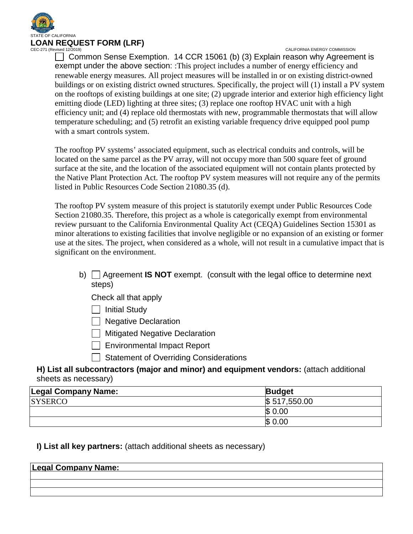

 $\Box$  Common Sense Exemption. 14 CCR 15061 (b) (3) Explain reason why Agreement is exempt under the above section: :This project includes a number of energy efficiency and renewable energy measures. All project measures will be installed in or on existing district-owned buildings or on existing district owned structures. Specifically, the project will (1) install a PV system on the rooftops of existing buildings at one site; (2) upgrade interior and exterior high efficiency light emitting diode (LED) lighting at three sites; (3) replace one rooftop HVAC unit with a high efficiency unit; and (4) replace old thermostats with new, programmable thermostats that will allow temperature scheduling; and (5) retrofit an existing variable frequency drive equipped pool pump with a smart controls system.

The rooftop PV systems' associated equipment, such as electrical conduits and controls, will be located on the same parcel as the PV array, will not occupy more than 500 square feet of ground surface at the site, and the location of the associated equipment will not contain plants protected by the Native Plant Protection Act. The rooftop PV system measures will not require any of the permits listed in Public Resources Code Section 21080.35 (d).

The rooftop PV system measure of this project is statutorily exempt under Public Resources Code Section 21080.35. Therefore, this project as a whole is categorically exempt from environmental review pursuant to the California Environmental Quality Act (CEQA) Guidelines Section 15301 as minor alterations to existing facilities that involve negligible or no expansion of an existing or former use at the sites. The project, when considered as a whole, will not result in a cumulative impact that is significant on the environment.

- b) Agreement **IS NOT** exempt. (consult with the legal office to determine next steps)
	- Check all that apply
	- $\Box$  Initial Study
	- $\Box$  Negative Declaration
	- **Mitigated Negative Declaration**
	- Environmental Impact Report
	- $\Box$  Statement of Overriding Considerations

**H) List all subcontractors (major and minor) and equipment vendors:** (attach additional sheets as necessary)

| Legal Company Name: | <b>Budget</b> |
|---------------------|---------------|
| <b>SYSERCO</b>      | \$517,550.00  |
|                     | \$<br>0.00    |
|                     | \$<br>0.00    |

### **I) List all key partners:** (attach additional sheets as necessary)

| <b>Legal Company Name:</b> |  |  |
|----------------------------|--|--|
|                            |  |  |
|                            |  |  |
|                            |  |  |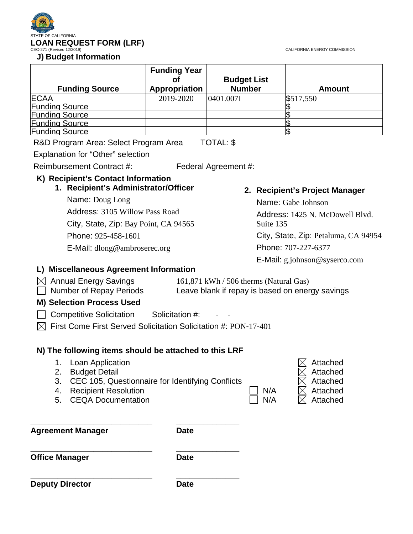



| <b>Funding Source</b> | <b>Funding Year</b><br>Appropriation | <b>Budget List</b><br><b>Number</b> | <b>Amount</b> |
|-----------------------|--------------------------------------|-------------------------------------|---------------|
| <b>ECAA</b>           | 2019-2020                            | 0401.007I                           | \$517,550     |
| <b>Funding Source</b> |                                      |                                     |               |
| <b>Funding Source</b> |                                      |                                     |               |
| <b>Funding Source</b> |                                      |                                     |               |
| <b>Funding Source</b> |                                      |                                     |               |
| - - -                 |                                      |                                     |               |

R&D Program Area: Select Program Area TOTAL: \$

Explanation for "Other" selection

Reimbursement Contract #: Federal Agreement #:

### **K) Recipient's Contact Information**

**1. Recipient's Administrator/Officer**

Name: Doug Long Address: 3105 Willow Pass Road City, State, Zip: Bay Point, CA 94565 Phone: 925-458-1601 E-Mail: dlong@ambroserec.org

### **2. Recipient's Project Manager**

Name: Gabe Johnson Address: 1425 N. McDowell Blvd. Suite 135 City, State, Zip: Petaluma, CA 94954 Phone: 707-227-6377 E-Mail: g.johnson@syserco.com

### **L) Miscellaneous Agreement Information**

| $\times$ Annual Energy Savings    | $161,871$ kWh / 506 therms (Natural Gas)        |
|-----------------------------------|-------------------------------------------------|
| Number of Repay Periods<br>$\sim$ | Leave blank if repay is based on energy savings |

#### **M) Selection Process Used**

 $\Box$  Competitive Solicitation Solicitation #:

 $\boxtimes$  First Come First Served Solicitation Solicitation #: PON-17-401

### **N) The following items should be attached to this LRF**

**\_\_\_\_\_\_\_\_\_\_\_\_\_\_\_\_\_\_\_\_\_\_\_\_\_\_\_ \_\_\_\_\_\_\_\_\_\_\_\_\_\_**

**\_\_\_\_\_\_\_\_\_\_\_\_\_\_\_\_\_\_\_\_\_\_\_\_\_\_\_ \_\_\_\_\_\_\_\_\_\_\_\_\_\_**

- 1. Loan Application
- 2. Budget Detail
- 3. CEC 105, Questionnaire for Identifying Conflicts
- 4. Recipient Resolution Attached N/A
- 5. CEQA Documentation and N/A

**\_\_\_\_\_\_\_\_\_\_\_\_\_\_\_\_\_\_\_\_\_\_\_\_\_\_\_ \_\_\_\_\_\_\_\_\_\_\_\_\_\_**

**Agreement Manager Date** 

**Office Manager Date** 

**Deputy Director Date** 

| $\boxtimes\,$ Attached |
|------------------------|
| $\bowtie$ Attached     |
| $\boxtimes$ Attached   |
| $\boxtimes$ Attached   |
| $\boxtimes$ Attached   |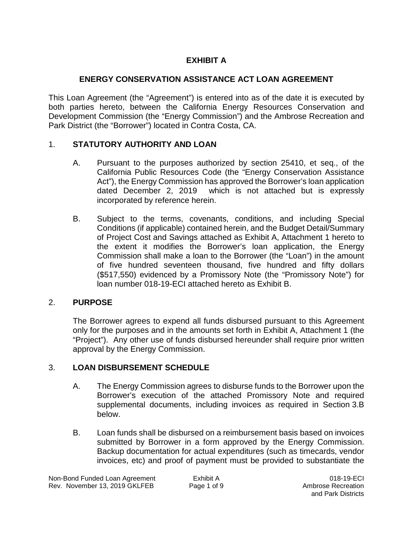## **EXHIBIT A**

## **ENERGY CONSERVATION ASSISTANCE ACT LOAN AGREEMENT**

This Loan Agreement (the "Agreement") is entered into as of the date it is executed by both parties hereto, between the California Energy Resources Conservation and Development Commission (the "Energy Commission") and the Ambrose Recreation and Park District (the "Borrower") located in Contra Costa, CA.

## 1. **STATUTORY AUTHORITY AND LOAN**

- A. Pursuant to the purposes authorized by section 25410, et seq., of the California Public Resources Code (the "Energy Conservation Assistance Act"), the Energy Commission has approved the Borrower's loan application dated December 2, 2019 which is not attached but is expressly incorporated by reference herein.
- B. Subject to the terms, covenants, conditions, and including Special Conditions (if applicable) contained herein, and the Budget Detail/Summary of Project Cost and Savings attached as Exhibit A, Attachment 1 hereto to the extent it modifies the Borrower's loan application, the Energy Commission shall make a loan to the Borrower (the "Loan") in the amount of five hundred seventeen thousand, five hundred and fifty dollars (\$517,550) evidenced by a Promissory Note (the "Promissory Note") for loan number 018-19-ECI attached hereto as Exhibit B.

### 2. **PURPOSE**

The Borrower agrees to expend all funds disbursed pursuant to this Agreement only for the purposes and in the amounts set forth in Exhibit A, Attachment 1 (the "Project"). Any other use of funds disbursed hereunder shall require prior written approval by the Energy Commission.

### 3. **LOAN DISBURSEMENT SCHEDULE**

- A. The Energy Commission agrees to disburse funds to the Borrower upon the Borrower's execution of the attached Promissory Note and required supplemental documents, including invoices as required in Section 3.B below.
- B. Loan funds shall be disbursed on a reimbursement basis based on invoices submitted by Borrower in a form approved by the Energy Commission. Backup documentation for actual expenditures (such as timecards, vendor invoices, etc) and proof of payment must be provided to substantiate the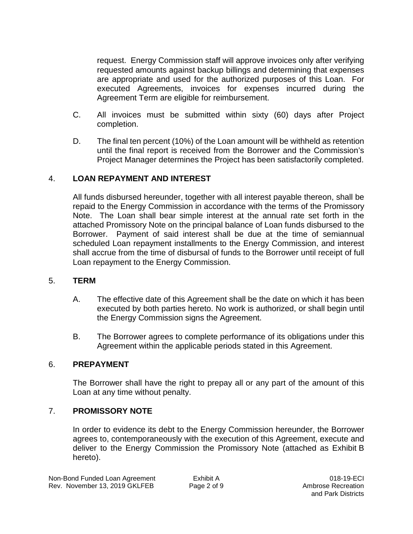request. Energy Commission staff will approve invoices only after verifying requested amounts against backup billings and determining that expenses are appropriate and used for the authorized purposes of this Loan. For executed Agreements, invoices for expenses incurred during the Agreement Term are eligible for reimbursement.

- C. All invoices must be submitted within sixty (60) days after Project completion.
- D. The final ten percent (10%) of the Loan amount will be withheld as retention until the final report is received from the Borrower and the Commission's Project Manager determines the Project has been satisfactorily completed.

### 4. **LOAN REPAYMENT AND INTEREST**

All funds disbursed hereunder, together with all interest payable thereon, shall be repaid to the Energy Commission in accordance with the terms of the Promissory Note. The Loan shall bear simple interest at the annual rate set forth in the attached Promissory Note on the principal balance of Loan funds disbursed to the Borrower. Payment of said interest shall be due at the time of semiannual scheduled Loan repayment installments to the Energy Commission, and interest shall accrue from the time of disbursal of funds to the Borrower until receipt of full Loan repayment to the Energy Commission.

#### 5. **TERM**

- A. The effective date of this Agreement shall be the date on which it has been executed by both parties hereto. No work is authorized, or shall begin until the Energy Commission signs the Agreement.
- B. The Borrower agrees to complete performance of its obligations under this Agreement within the applicable periods stated in this Agreement.

### 6. **PREPAYMENT**

The Borrower shall have the right to prepay all or any part of the amount of this Loan at any time without penalty.

### 7. **PROMISSORY NOTE**

In order to evidence its debt to the Energy Commission hereunder, the Borrower agrees to, contemporaneously with the execution of this Agreement, execute and deliver to the Energy Commission the Promissory Note (attached as Exhibit B hereto).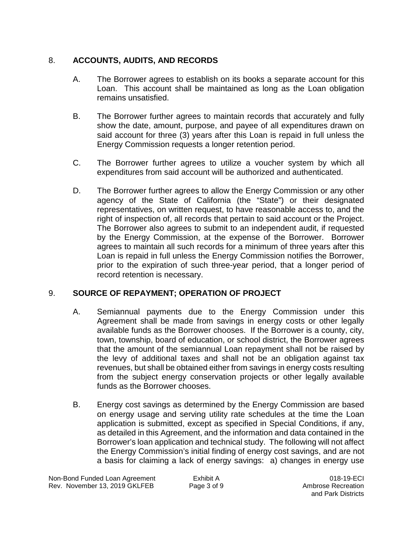## 8. **ACCOUNTS, AUDITS, AND RECORDS**

- A. The Borrower agrees to establish on its books a separate account for this Loan. This account shall be maintained as long as the Loan obligation remains unsatisfied.
- B. The Borrower further agrees to maintain records that accurately and fully show the date, amount, purpose, and payee of all expenditures drawn on said account for three (3) years after this Loan is repaid in full unless the Energy Commission requests a longer retention period.
- C. The Borrower further agrees to utilize a voucher system by which all expenditures from said account will be authorized and authenticated.
- D. The Borrower further agrees to allow the Energy Commission or any other agency of the State of California (the "State") or their designated representatives, on written request, to have reasonable access to, and the right of inspection of, all records that pertain to said account or the Project. The Borrower also agrees to submit to an independent audit, if requested by the Energy Commission, at the expense of the Borrower. Borrower agrees to maintain all such records for a minimum of three years after this Loan is repaid in full unless the Energy Commission notifies the Borrower, prior to the expiration of such three-year period, that a longer period of record retention is necessary.

### 9. **SOURCE OF REPAYMENT; OPERATION OF PROJECT**

- A. Semiannual payments due to the Energy Commission under this Agreement shall be made from savings in energy costs or other legally available funds as the Borrower chooses. If the Borrower is a county, city, town, township, board of education, or school district, the Borrower agrees that the amount of the semiannual Loan repayment shall not be raised by the levy of additional taxes and shall not be an obligation against tax revenues, but shall be obtained either from savings in energy costs resulting from the subject energy conservation projects or other legally available funds as the Borrower chooses.
- B. Energy cost savings as determined by the Energy Commission are based on energy usage and serving utility rate schedules at the time the Loan application is submitted, except as specified in Special Conditions, if any, as detailed in this Agreement, and the information and data contained in the Borrower's loan application and technical study. The following will not affect the Energy Commission's initial finding of energy cost savings, and are not a basis for claiming a lack of energy savings: a) changes in energy use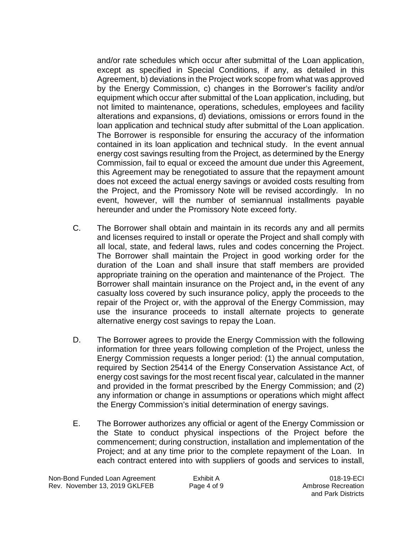and/or rate schedules which occur after submittal of the Loan application, except as specified in Special Conditions, if any, as detailed in this Agreement, b) deviations in the Project work scope from what was approved by the Energy Commission, c) changes in the Borrower's facility and/or equipment which occur after submittal of the Loan application, including, but not limited to maintenance, operations, schedules, employees and facility alterations and expansions, d) deviations, omissions or errors found in the loan application and technical study after submittal of the Loan application. The Borrower is responsible for ensuring the accuracy of the information contained in its loan application and technical study. In the event annual energy cost savings resulting from the Project, as determined by the Energy Commission, fail to equal or exceed the amount due under this Agreement, this Agreement may be renegotiated to assure that the repayment amount does not exceed the actual energy savings or avoided costs resulting from the Project, and the Promissory Note will be revised accordingly. In no event, however, will the number of semiannual installments payable hereunder and under the Promissory Note exceed forty.

- C. The Borrower shall obtain and maintain in its records any and all permits and licenses required to install or operate the Project and shall comply with all local, state, and federal laws, rules and codes concerning the Project. The Borrower shall maintain the Project in good working order for the duration of the Loan and shall insure that staff members are provided appropriate training on the operation and maintenance of the Project. The Borrower shall maintain insurance on the Project and**,** in the event of any casualty loss covered by such insurance policy, apply the proceeds to the repair of the Project or, with the approval of the Energy Commission, may use the insurance proceeds to install alternate projects to generate alternative energy cost savings to repay the Loan.
- D. The Borrower agrees to provide the Energy Commission with the following information for three years following completion of the Project, unless the Energy Commission requests a longer period: (1) the annual computation, required by Section 25414 of the Energy Conservation Assistance Act, of energy cost savings for the most recent fiscal year, calculated in the manner and provided in the format prescribed by the Energy Commission; and (2) any information or change in assumptions or operations which might affect the Energy Commission's initial determination of energy savings.
- E. The Borrower authorizes any official or agent of the Energy Commission or the State to conduct physical inspections of the Project before the commencement; during construction, installation and implementation of the Project; and at any time prior to the complete repayment of the Loan. In each contract entered into with suppliers of goods and services to install,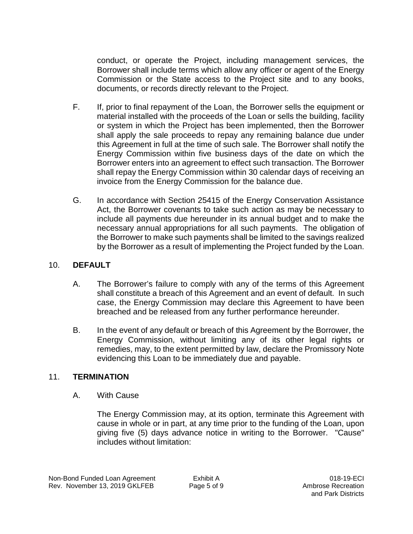conduct, or operate the Project, including management services, the Borrower shall include terms which allow any officer or agent of the Energy Commission or the State access to the Project site and to any books, documents, or records directly relevant to the Project.

- F. If, prior to final repayment of the Loan, the Borrower sells the equipment or material installed with the proceeds of the Loan or sells the building, facility or system in which the Project has been implemented, then the Borrower shall apply the sale proceeds to repay any remaining balance due under this Agreement in full at the time of such sale. The Borrower shall notify the Energy Commission within five business days of the date on which the Borrower enters into an agreement to effect such transaction. The Borrower shall repay the Energy Commission within 30 calendar days of receiving an invoice from the Energy Commission for the balance due.
- G. In accordance with Section 25415 of the Energy Conservation Assistance Act, the Borrower covenants to take such action as may be necessary to include all payments due hereunder in its annual budget and to make the necessary annual appropriations for all such payments. The obligation of the Borrower to make such payments shall be limited to the savings realized by the Borrower as a result of implementing the Project funded by the Loan.

### 10. **DEFAULT**

- A. The Borrower's failure to comply with any of the terms of this Agreement shall constitute a breach of this Agreement and an event of default. In such case, the Energy Commission may declare this Agreement to have been breached and be released from any further performance hereunder.
- B. In the event of any default or breach of this Agreement by the Borrower, the Energy Commission, without limiting any of its other legal rights or remedies, may, to the extent permitted by law, declare the Promissory Note evidencing this Loan to be immediately due and payable.

### 11. **TERMINATION**

### A. With Cause

The Energy Commission may, at its option, terminate this Agreement with cause in whole or in part, at any time prior to the funding of the Loan, upon giving five (5) days advance notice in writing to the Borrower. "Cause" includes without limitation: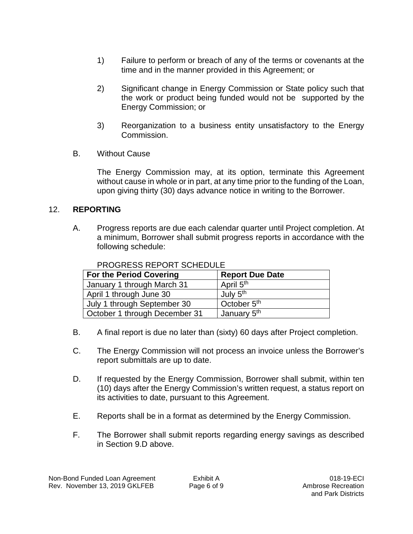- 1) Failure to perform or breach of any of the terms or covenants at the time and in the manner provided in this Agreement; or
- 2) Significant change in Energy Commission or State policy such that the work or product being funded would not be supported by the Energy Commission; or
- 3) Reorganization to a business entity unsatisfactory to the Energy Commission.
- B. Without Cause

The Energy Commission may, at its option, terminate this Agreement without cause in whole or in part, at any time prior to the funding of the Loan, upon giving thirty (30) days advance notice in writing to the Borrower.

## 12. **REPORTING**

A. Progress reports are due each calendar quarter until Project completion. At a minimum, Borrower shall submit progress reports in accordance with the following schedule:

| <b>For the Period Covering</b> | <b>Report Due Date</b>  |
|--------------------------------|-------------------------|
| January 1 through March 31     | April 5 <sup>th</sup>   |
| April 1 through June 30        | July 5 <sup>th</sup>    |
| July 1 through September 30    | October 5 <sup>th</sup> |
| October 1 through December 31  | January 5 <sup>th</sup> |

#### PROGRESS REPORT SCHEDULE

- B. A final report is due no later than (sixty) 60 days after Project completion.
- C. The Energy Commission will not process an invoice unless the Borrower's report submittals are up to date.
- D. If requested by the Energy Commission, Borrower shall submit, within ten (10) days after the Energy Commission's written request, a status report on its activities to date, pursuant to this Agreement.
- E. Reports shall be in a format as determined by the Energy Commission.
- F. The Borrower shall submit reports regarding energy savings as described in Section 9.D above.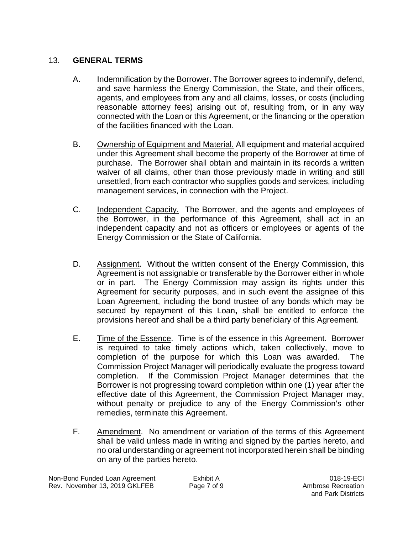#### 13. **GENERAL TERMS**

- A. Indemnification by the Borrower. The Borrower agrees to indemnify, defend, and save harmless the Energy Commission, the State, and their officers, agents, and employees from any and all claims, losses, or costs (including reasonable attorney fees) arising out of, resulting from, or in any way connected with the Loan or this Agreement, or the financing or the operation of the facilities financed with the Loan.
- B. Ownership of Equipment and Material. All equipment and material acquired under this Agreement shall become the property of the Borrower at time of purchase. The Borrower shall obtain and maintain in its records a written waiver of all claims, other than those previously made in writing and still unsettled, from each contractor who supplies goods and services, including management services, in connection with the Project.
- C. Independent Capacity. The Borrower, and the agents and employees of the Borrower, in the performance of this Agreement, shall act in an independent capacity and not as officers or employees or agents of the Energy Commission or the State of California.
- D. Assignment. Without the written consent of the Energy Commission, this Agreement is not assignable or transferable by the Borrower either in whole or in part. The Energy Commission may assign its rights under this Agreement for security purposes, and in such event the assignee of this Loan Agreement, including the bond trustee of any bonds which may be secured by repayment of this Loan**,** shall be entitled to enforce the provisions hereof and shall be a third party beneficiary of this Agreement.
- E. Time of the Essence. Time is of the essence in this Agreement. Borrower is required to take timely actions which, taken collectively, move to completion of the purpose for which this Loan was awarded. The Commission Project Manager will periodically evaluate the progress toward completion. If the Commission Project Manager determines that the Borrower is not progressing toward completion within one (1) year after the effective date of this Agreement, the Commission Project Manager may, without penalty or prejudice to any of the Energy Commission's other remedies, terminate this Agreement.
- F. Amendment. No amendment or variation of the terms of this Agreement shall be valid unless made in writing and signed by the parties hereto, and no oral understanding or agreement not incorporated herein shall be binding on any of the parties hereto.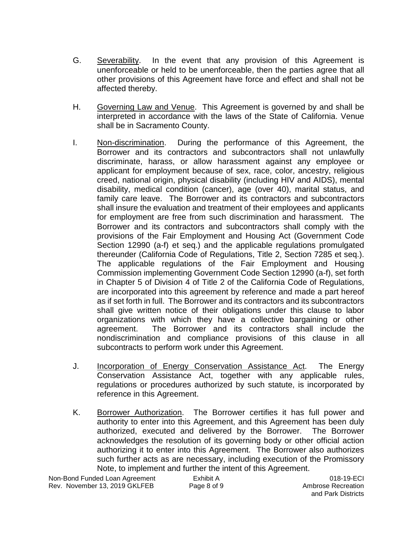- G. Severability. In the event that any provision of this Agreement is unenforceable or held to be unenforceable, then the parties agree that all other provisions of this Agreement have force and effect and shall not be affected thereby.
- H. Governing Law and Venue. This Agreement is governed by and shall be interpreted in accordance with the laws of the State of California. Venue shall be in Sacramento County.
- I. Non-discrimination. During the performance of this Agreement, the Borrower and its contractors and subcontractors shall not unlawfully discriminate, harass, or allow harassment against any employee or applicant for employment because of sex, race, color, ancestry, religious creed, national origin, physical disability (including HIV and AIDS), mental disability, medical condition (cancer), age (over 40), marital status, and family care leave. The Borrower and its contractors and subcontractors shall insure the evaluation and treatment of their employees and applicants for employment are free from such discrimination and harassment. The Borrower and its contractors and subcontractors shall comply with the provisions of the Fair Employment and Housing Act (Government Code Section 12990 (a-f) et seq.) and the applicable regulations promulgated thereunder (California Code of Regulations, Title 2, Section 7285 et seq.). The applicable regulations of the Fair Employment and Housing Commission implementing Government Code Section 12990 (a-f), set forth in Chapter 5 of Division 4 of Title 2 of the California Code of Regulations, are incorporated into this agreement by reference and made a part hereof as if set forth in full. The Borrower and its contractors and its subcontractors shall give written notice of their obligations under this clause to labor organizations with which they have a collective bargaining or other agreement. The Borrower and its contractors shall include the nondiscrimination and compliance provisions of this clause in all subcontracts to perform work under this Agreement.
- J. Incorporation of Energy Conservation Assistance Act. The Energy Conservation Assistance Act, together with any applicable rules, regulations or procedures authorized by such statute, is incorporated by reference in this Agreement.
- K. Borrower Authorization. The Borrower certifies it has full power and authority to enter into this Agreement, and this Agreement has been duly authorized, executed and delivered by the Borrower. The Borrower acknowledges the resolution of its governing body or other official action authorizing it to enter into this Agreement. The Borrower also authorizes such further acts as are necessary, including execution of the Promissory Note, to implement and further the intent of this Agreement.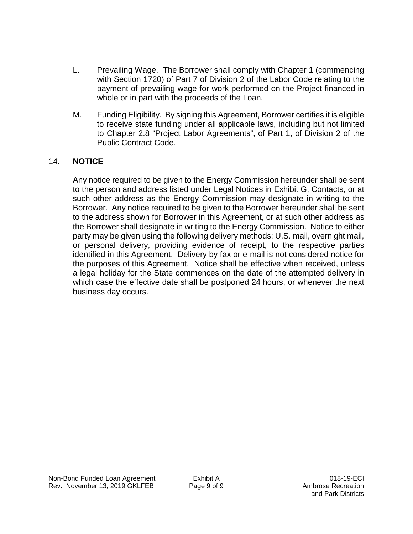- L. Prevailing Wage. The Borrower shall comply with Chapter 1 (commencing with Section 1720) of Part 7 of Division 2 of the Labor Code relating to the payment of prevailing wage for work performed on the Project financed in whole or in part with the proceeds of the Loan.
- M. Funding Eligibility. By signing this Agreement, Borrower certifies it is eligible to receive state funding under all applicable laws, including but not limited to Chapter 2.8 "Project Labor Agreements", of Part 1, of Division 2 of the Public Contract Code.

## 14. **NOTICE**

Any notice required to be given to the Energy Commission hereunder shall be sent to the person and address listed under Legal Notices in Exhibit G, Contacts, or at such other address as the Energy Commission may designate in writing to the Borrower. Any notice required to be given to the Borrower hereunder shall be sent to the address shown for Borrower in this Agreement, or at such other address as the Borrower shall designate in writing to the Energy Commission. Notice to either party may be given using the following delivery methods: U.S. mail, overnight mail, or personal delivery, providing evidence of receipt, to the respective parties identified in this Agreement. Delivery by fax or e-mail is not considered notice for the purposes of this Agreement. Notice shall be effective when received, unless a legal holiday for the State commences on the date of the attempted delivery in which case the effective date shall be postponed 24 hours, or whenever the next business day occurs.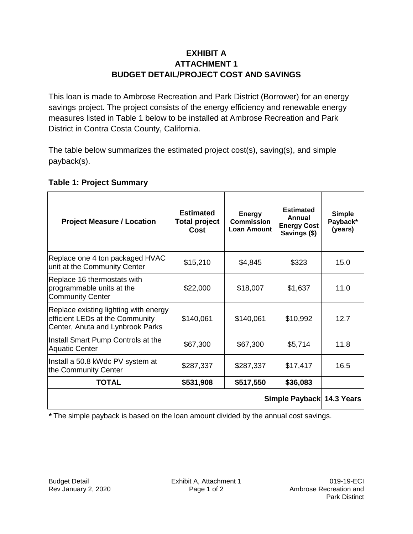## **EXHIBIT A ATTACHMENT 1 BUDGET DETAIL/PROJECT COST AND SAVINGS**

This loan is made to Ambrose Recreation and Park District (Borrower) for an energy savings project. The project consists of the energy efficiency and renewable energy measures listed in Table 1 below to be installed at Ambrose Recreation and Park District in Contra Costa County, California.

The table below summarizes the estimated project cost(s), saving(s), and simple payback(s).

### **Table 1: Project Summary**

| <b>Project Measure / Location</b>                                                                            | <b>Estimated</b><br><b>Total project</b><br>Cost | <b>Energy</b><br><b>Commission</b><br><b>Loan Amount</b> | <b>Estimated</b><br>Annual<br><b>Energy Cost</b><br>Savings (\$) | <b>Simple</b><br>Payback*<br>(years) |
|--------------------------------------------------------------------------------------------------------------|--------------------------------------------------|----------------------------------------------------------|------------------------------------------------------------------|--------------------------------------|
| Replace one 4 ton packaged HVAC<br>unit at the Community Center                                              | \$15,210                                         | \$4,845                                                  | \$323                                                            | 15.0                                 |
| Replace 16 thermostats with<br>programmable units at the<br><b>Community Center</b>                          | \$22,000                                         | \$18,007                                                 | \$1,637                                                          | 11.0                                 |
| Replace existing lighting with energy<br>efficient LEDs at the Community<br>Center, Anuta and Lynbrook Parks | \$140,061                                        | \$140,061                                                | \$10,992                                                         | 12.7                                 |
| Install Smart Pump Controls at the<br><b>Aquatic Center</b>                                                  | \$67,300                                         | \$67,300                                                 | \$5,714                                                          | 11.8                                 |
| Install a 50.8 kWdc PV system at<br>the Community Center                                                     | \$287,337                                        | \$287,337                                                | \$17,417                                                         | 16.5                                 |
| <b>TOTAL</b>                                                                                                 | \$531,908                                        | \$517,550                                                | \$36,083                                                         |                                      |
| Simple Payback 14.3 Years                                                                                    |                                                  |                                                          |                                                                  |                                      |

*\** The simple payback is based on the loan amount divided by the annual cost savings.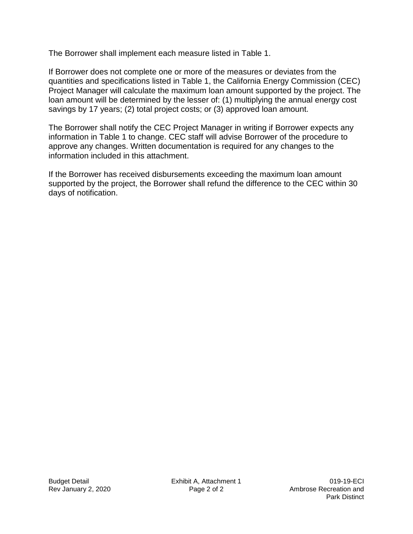The Borrower shall implement each measure listed in Table 1.

If Borrower does not complete one or more of the measures or deviates from the quantities and specifications listed in Table 1, the California Energy Commission (CEC) Project Manager will calculate the maximum loan amount supported by the project. The loan amount will be determined by the lesser of: (1) multiplying the annual energy cost savings by 17 years; (2) total project costs; or (3) approved loan amount.

The Borrower shall notify the CEC Project Manager in writing if Borrower expects any information in Table 1 to change. CEC staff will advise Borrower of the procedure to approve any changes. Written documentation is required for any changes to the information included in this attachment.

If the Borrower has received disbursements exceeding the maximum loan amount supported by the project, the Borrower shall refund the difference to the CEC within 30 days of notification.